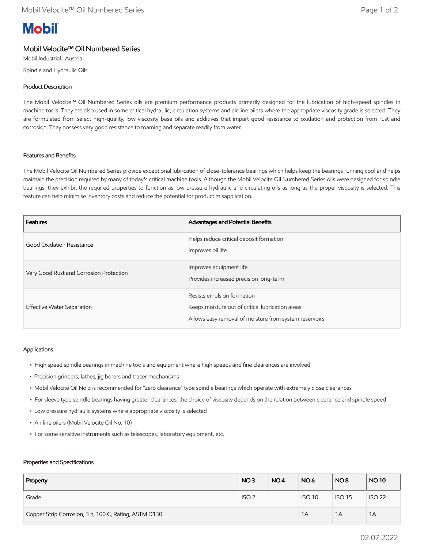# **Mobil**

# Mobil Velocite™ Oil Numbered Series

Mobil Industrial , Austria Spindle and Hydraulic Oils

## Product Description

The Mobil Velocite™ Oil Numbered Series oils are premium performance products primarily designed for the lubrication of high-speed spindles in machine tools. They are also used in some critical hydraulic, circulation systems and air line oilers where the appropriate viscosity grade is selected. They are formulated from select high-quality, low viscosity base oils and additives that impart good resistance to oxidation and protection from rust and corrosion. They possess very good resistance to foaming and separate readily from water.

### Features and Benefits

The Mobil Velocite Oil Numbered Series provide exceptional lubrication of close-tolerance bearings which helps keep the bearings running cool and helps maintain the precision required by many of today's critical machine tools. Although the Mobil Velocite Oil Numbered Series oils were designed for spindle bearings, they exhibit the required properties to function as low pressure hydraulic and circulating oils as long as the proper viscosity is selected. This feature can help minimise inventory costs and reduce the potential for product misapplication.

| <b>Features</b>                         | Advantages and Potential Benefits                                                                                                        |
|-----------------------------------------|------------------------------------------------------------------------------------------------------------------------------------------|
| Good Oxidation Resistance               | Helps reduce critical deposit formation<br>Improves oil life                                                                             |
| Very Good Rust and Corrosion Protection | Improves equipment life<br>Provides increased precision long-term                                                                        |
| Effective Water Separation              | Resists emulsion formation<br>Keeps moisture out of critical lubrication areas<br>Allows easy removal of moisture from system reservoirs |

#### Applications

- High speed spindle bearings in machine tools and equipment where high speeds and fine clearances are involved
- Precision grinders, lathes, jig borers and tracer mechanisms
- Mobil Velocite Oil No 3 is recommended for "zero clearance" type spindle bearings which operate with extremely close clearances
- For sleeve type spindle bearings having greater clearances, the choice of viscosity depends on the relation between clearance and spindle speed
- Low pressure hydraulic systems where appropriate viscosity is selected
- Air line oilers (Mobil Velocite Oil No. 10)
- For some sensitive instruments such as telescopes, laboratory equipment, etc.

#### Properties and Specifications

| Property                                              | NO <sub>3</sub>  | NO <sub>4</sub> | NO <sub>6</sub> | NO <sub>8</sub> | <b>NO10</b>   |
|-------------------------------------------------------|------------------|-----------------|-----------------|-----------------|---------------|
| Grade                                                 | ISO <sub>2</sub> |                 | <b>ISO 10</b>   | <b>ISO 15</b>   | <b>ISO 22</b> |
| Copper Strip Corrosion, 3 h, 100 C, Rating, ASTM D130 |                  |                 | 1A              | 1A              | 1A            |